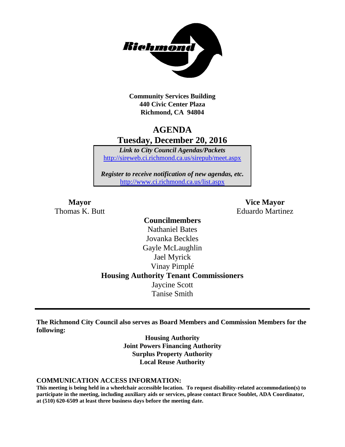

**Community Services Building 440 Civic Center Plaza Richmond, CA 94804**

## **AGENDA Tuesday, December 20, 2016**

*Link to City Council Agendas/Packets* <http://sireweb.ci.richmond.ca.us/sirepub/meet.aspx>

*Register to receive notification of new agendas, etc.* <http://www.ci.richmond.ca.us/list.aspx>

**Mayor Vice Mayor** Thomas K. Butt **Eduardo Martinez** 

## **Councilmembers** Nathaniel Bates Jovanka Beckles Gayle McLaughlin Jael Myrick Vinay Pimplé **Housing Authority Tenant Commissioners** Jaycine Scott Tanise Smith

**The Richmond City Council also serves as Board Members and Commission Members for the following:**

> **Housing Authority Joint Powers Financing Authority Surplus Property Authority Local Reuse Authority**

#### **COMMUNICATION ACCESS INFORMATION:**

**This meeting is being held in a wheelchair accessible location. To request disability-related accommodation(s) to participate in the meeting, including auxiliary aids or services, please contact Bruce Soublet, ADA Coordinator, at (510) 620-6509 at least three business days before the meeting date.**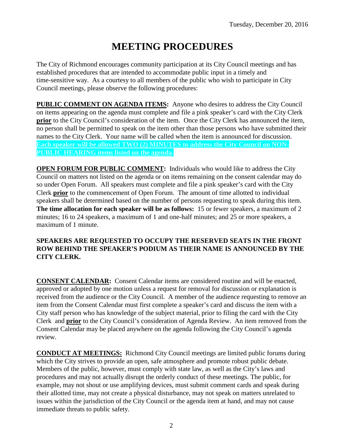# **MEETING PROCEDURES**

The City of Richmond encourages community participation at its City Council meetings and has established procedures that are intended to accommodate public input in a timely and time-sensitive way. As a courtesy to all members of the public who wish to participate in City Council meetings, please observe the following procedures:

**PUBLIC COMMENT ON AGENDA ITEMS:** Anyone who desires to address the City Council on items appearing on the agenda must complete and file a pink speaker's card with the City Clerk **prior** to the City Council's consideration of the item. Once the City Clerk has announced the item, no person shall be permitted to speak on the item other than those persons who have submitted their names to the City Clerk. Your name will be called when the item is announced for discussion. **Each speaker will be allowed TWO (2) MINUTES to address the City Council on NON-PUBLIC HEARING items listed on the agenda.**

**OPEN FORUM FOR PUBLIC COMMENT:** Individuals who would like to address the City Council on matters not listed on the agenda or on items remaining on the consent calendar may do so under Open Forum. All speakers must complete and file a pink speaker's card with the City Clerk **prior** to the commencement of Open Forum. The amount of time allotted to individual speakers shall be determined based on the number of persons requesting to speak during this item. **The time allocation for each speaker will be as follows:** 15 or fewer speakers, a maximum of 2 minutes; 16 to 24 speakers, a maximum of 1 and one-half minutes; and 25 or more speakers, a maximum of 1 minute.

### **SPEAKERS ARE REQUESTED TO OCCUPY THE RESERVED SEATS IN THE FRONT ROW BEHIND THE SPEAKER'S PODIUM AS THEIR NAME IS ANNOUNCED BY THE CITY CLERK.**

**CONSENT CALENDAR:** Consent Calendar items are considered routine and will be enacted, approved or adopted by one motion unless a request for removal for discussion or explanation is received from the audience or the City Council. A member of the audience requesting to remove an item from the Consent Calendar must first complete a speaker's card and discuss the item with a City staff person who has knowledge of the subject material, prior to filing the card with the City Clerk and **prior** to the City Council's consideration of Agenda Review. An item removed from the Consent Calendar may be placed anywhere on the agenda following the City Council's agenda review.

**CONDUCT AT MEETINGS:** Richmond City Council meetings are limited public forums during which the City strives to provide an open, safe atmosphere and promote robust public debate. Members of the public, however, must comply with state law, as well as the City's laws and procedures and may not actually disrupt the orderly conduct of these meetings. The public, for example, may not shout or use amplifying devices, must submit comment cards and speak during their allotted time, may not create a physical disturbance, may not speak on matters unrelated to issues within the jurisdiction of the City Council or the agenda item at hand, and may not cause immediate threats to public safety.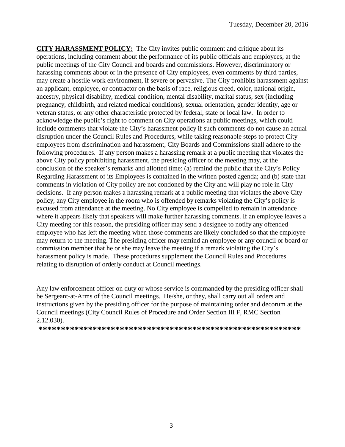**CITY HARASSMENT POLICY:** The City invites public comment and critique about its operations, including comment about the performance of its public officials and employees, at the public meetings of the City Council and boards and commissions. However, discriminatory or harassing comments about or in the presence of City employees, even comments by third parties, may create a hostile work environment, if severe or pervasive. The City prohibits harassment against an applicant, employee, or contractor on the basis of race, religious creed, color, national origin, ancestry, physical disability, medical condition, mental disability, marital status, sex (including pregnancy, childbirth, and related medical conditions), sexual orientation, gender identity, age or veteran status, or any other characteristic protected by federal, state or local law. In order to acknowledge the public's right to comment on City operations at public meetings, which could include comments that violate the City's harassment policy if such comments do not cause an actual disruption under the Council Rules and Procedures, while taking reasonable steps to protect City employees from discrimination and harassment, City Boards and Commissions shall adhere to the following procedures. If any person makes a harassing remark at a public meeting that violates the above City policy prohibiting harassment, the presiding officer of the meeting may, at the conclusion of the speaker's remarks and allotted time: (a) remind the public that the City's Policy Regarding Harassment of its Employees is contained in the written posted agenda; and (b) state that comments in violation of City policy are not condoned by the City and will play no role in City decisions. If any person makes a harassing remark at a public meeting that violates the above City policy, any City employee in the room who is offended by remarks violating the City's policy is excused from attendance at the meeting. No City employee is compelled to remain in attendance where it appears likely that speakers will make further harassing comments. If an employee leaves a City meeting for this reason, the presiding officer may send a designee to notify any offended employee who has left the meeting when those comments are likely concluded so that the employee may return to the meeting. The presiding officer may remind an employee or any council or board or commission member that he or she may leave the meeting if a remark violating the City's harassment policy is made. These procedures supplement the Council Rules and Procedures relating to disruption of orderly conduct at Council meetings.

Any law enforcement officer on duty or whose service is commanded by the presiding officer shall be Sergeant-at-Arms of the Council meetings. He/she, or they, shall carry out all orders and instructions given by the presiding officer for the purpose of maintaining order and decorum at the Council meetings (City Council Rules of Procedure and Order Section III F, RMC Section 2.12.030).

**\*\*\*\*\*\*\*\*\*\*\*\*\*\*\*\*\*\*\*\*\*\*\*\*\*\*\*\*\*\*\*\*\*\*\*\*\*\*\*\*\*\*\*\*\*\*\*\*\*\*\*\*\*\*\*\*\*\***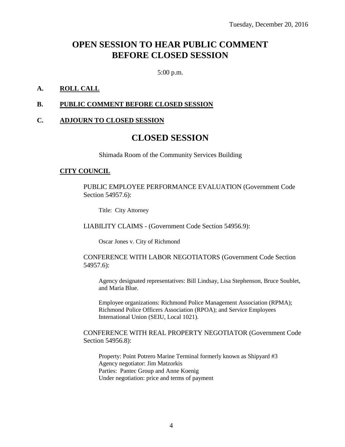## **OPEN SESSION TO HEAR PUBLIC COMMENT BEFORE CLOSED SESSION**

5:00 p.m.

#### **A. ROLL CALL**

#### **B. PUBLIC COMMENT BEFORE CLOSED SESSION**

#### **C. ADJOURN TO CLOSED SESSION**

## **CLOSED SESSION**

Shimada Room of the Community Services Building

#### **CITY COUNCIL**

PUBLIC EMPLOYEE PERFORMANCE EVALUATION (Government Code Section 54957.6):

Title: City Attorney

LIABILITY CLAIMS - (Government Code Section 54956.9):

Oscar Jones v. City of Richmond

#### CONFERENCE WITH LABOR NEGOTIATORS (Government Code Section 54957.6):

Agency designated representatives: Bill Lindsay, Lisa Stephenson, Bruce Soublet, and Maria Blue.

Employee organizations: Richmond Police Management Association (RPMA); Richmond Police Officers Association (RPOA); and Service Employees International Union (SEIU, Local 1021).

#### CONFERENCE WITH REAL PROPERTY NEGOTIATOR (Government Code Section 54956.8):

Property: Point Potrero Marine Terminal formerly known as Shipyard #3 Agency negotiator: Jim Matzorkis Parties: Pantec Group and Anne Koenig Under negotiation: price and terms of payment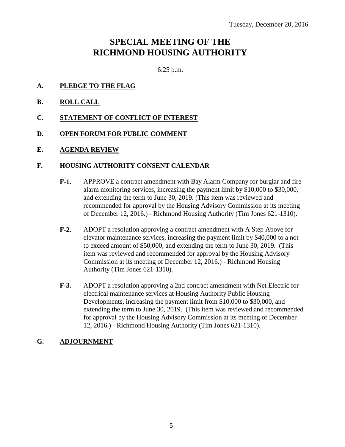## **SPECIAL MEETING OF THE RICHMOND HOUSING AUTHORITY**

6:25 p.m.

- **A. PLEDGE TO THE FLAG**
- **B. ROLL CALL**
- **C. STATEMENT OF CONFLICT OF INTEREST**
- **D. OPEN FORUM FOR PUBLIC COMMENT**
- **E. AGENDA REVIEW**

#### **F. HOUSING AUTHORITY CONSENT CALENDAR**

- **F-1.** APPROVE a contract amendment with Bay Alarm Company for burglar and fire alarm monitoring services, increasing the payment limit by \$10,000 to \$30,000, and extending the term to June 30, 2019. (This item was reviewed and recommended for approval by the Housing Advisory Commission at its meeting of December 12, 2016.) - Richmond Housing Authority (Tim Jones 621-1310).
- **F-2.** ADOPT a resolution approving a contract amendment with A Step Above for elevator maintenance services, increasing the payment limit by \$40,000 to a not to exceed amount of \$50,000, and extending the term to June 30, 2019. (This item was reviewed and recommended for approval by the Housing Advisory Commission at its meeting of December 12, 2016.) - Richmond Housing Authority (Tim Jones 621-1310).
- **F-3.** ADOPT a resolution approving a 2nd contract amendment with Net Electric for electrical maintenance services at Housing Authority Public Housing Developments, increasing the payment limit from \$10,000 to \$30,000, and extending the term to June 30, 2019. (This item was reviewed and recommended for approval by the Housing Advisory Commission at its meeting of December 12, 2016.) - Richmond Housing Authority (Tim Jones 621-1310).

#### **G. ADJOURNMENT**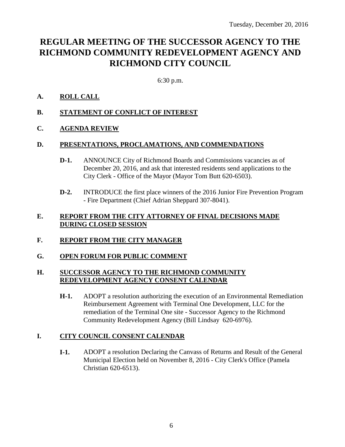## **REGULAR MEETING OF THE SUCCESSOR AGENCY TO THE RICHMOND COMMUNITY REDEVELOPMENT AGENCY AND RICHMOND CITY COUNCIL**

6:30 p.m.

### **A. ROLL CALL**

- **B. STATEMENT OF CONFLICT OF INTEREST**
- **C. AGENDA REVIEW**

#### **D. PRESENTATIONS, PROCLAMATIONS, AND COMMENDATIONS**

- **D-1.** ANNOUNCE City of Richmond Boards and Commissions vacancies as of December 20, 2016, and ask that interested residents send applications to the City Clerk - Office of the Mayor (Mayor Tom Butt 620-6503).
- **D-2.** INTRODUCE the first place winners of the 2016 Junior Fire Prevention Program - Fire Department (Chief Adrian Sheppard 307-8041).

#### **E. REPORT FROM THE CITY ATTORNEY OF FINAL DECISIONS MADE DURING CLOSED SESSION**

- **F. REPORT FROM THE CITY MANAGER**
- **G. OPEN FORUM FOR PUBLIC COMMENT**

### **H. SUCCESSOR AGENCY TO THE RICHMOND COMMUNITY REDEVELOPMENT AGENCY CONSENT CALENDAR**

**H-1.** ADOPT a resolution authorizing the execution of an Environmental Remediation Reimbursement Agreement with Terminal One Development, LLC for the remediation of the Terminal One site - Successor Agency to the Richmond Community Redevelopment Agency (Bill Lindsay 620-6976).

## **I. CITY COUNCIL CONSENT CALENDAR**

**I-1.** ADOPT a resolution Declaring the Canvass of Returns and Result of the General Municipal Election held on November 8, 2016 - City Clerk's Office (Pamela Christian 620-6513).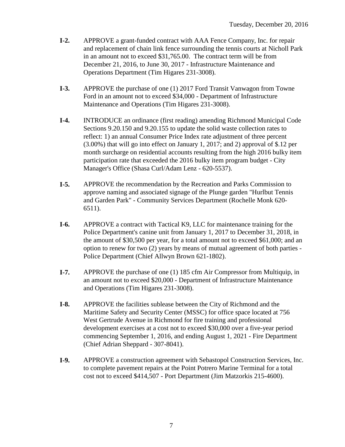- **I-2.** APPROVE a grant-funded contract with AAA Fence Company, Inc. for repair and replacement of chain link fence surrounding the tennis courts at Nicholl Park in an amount not to exceed \$31,765.00. The contract term will be from December 21, 2016, to June 30, 2017 - Infrastructure Maintenance and Operations Department (Tim Higares 231-3008).
- **I-3.** APPROVE the purchase of one (1) 2017 Ford Transit Vanwagon from Towne Ford in an amount not to exceed \$34,000 - Department of Infrastructure Maintenance and Operations (Tim Higares 231-3008).
- **I-4.** INTRODUCE an ordinance (first reading) amending Richmond Municipal Code Sections 9.20.150 and 9.20.155 to update the solid waste collection rates to reflect: 1) an annual Consumer Price Index rate adjustment of three percent (3.00%) that will go into effect on January 1, 2017; and 2) approval of \$.12 per month surcharge on residential accounts resulting from the high 2016 bulky item participation rate that exceeded the 2016 bulky item program budget - City Manager's Office (Shasa Curl/Adam Lenz - 620-5537).
- **I-5.** APPROVE the recommendation by the Recreation and Parks Commission to approve naming and associated signage of the Plunge garden "Hurlbut Tennis and Garden Park" - Community Services Department (Rochelle Monk 620- 6511).
- **I-6.** APPROVE a contract with Tactical K9, LLC for maintenance training for the Police Department's canine unit from January 1, 2017 to December 31, 2018, in the amount of \$30,500 per year, for a total amount not to exceed \$61,000; and an option to renew for two (2) years by means of mutual agreement of both parties - Police Department (Chief Allwyn Brown 621-1802).
- **I-7.** APPROVE the purchase of one (1) 185 cfm Air Compressor from Multiquip, in an amount not to exceed \$20,000 - Department of Infrastructure Maintenance and Operations (Tim Higares 231-3008).
- **I-8.** APPROVE the facilities sublease between the City of Richmond and the Maritime Safety and Security Center (MSSC) for office space located at 756 West Gertrude Avenue in Richmond for fire training and professional development exercises at a cost not to exceed \$30,000 over a five-year period commencing September 1, 2016, and ending August 1, 2021 - Fire Department (Chief Adrian Sheppard - 307-8041).
- **I-9.** APPROVE a construction agreement with Sebastopol Construction Services, Inc. to complete pavement repairs at the Point Potrero Marine Terminal for a total cost not to exceed \$414,507 - Port Department (Jim Matzorkis 215-4600).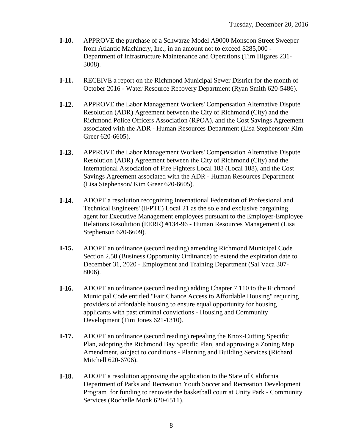- **I-10.** APPROVE the purchase of a Schwarze Model A9000 Monsoon Street Sweeper from Atlantic Machinery, Inc., in an amount not to exceed \$285,000 - Department of Infrastructure Maintenance and Operations (Tim Higares 231- 3008).
- **I-11.** RECEIVE a report on the Richmond Municipal Sewer District for the month of October 2016 - Water Resource Recovery Department (Ryan Smith 620-5486).
- **I-12.** APPROVE the Labor Management Workers' Compensation Alternative Dispute Resolution (ADR) Agreement between the City of Richmond (City) and the Richmond Police Officers Association (RPOA), and the Cost Savings Agreement associated with the ADR - Human Resources Department (Lisa Stephenson/ Kim Greer 620-6605).
- **I-13.** APPROVE the Labor Management Workers' Compensation Alternative Dispute Resolution (ADR) Agreement between the City of Richmond (City) and the International Association of Fire Fighters Local 188 (Local 188), and the Cost Savings Agreement associated with the ADR - Human Resources Department (Lisa Stephenson/ Kim Greer 620-6605).
- **I-14.** ADOPT a resolution recognizing International Federation of Professional and Technical Engineers' (IFPTE) Local 21 as the sole and exclusive bargaining agent for Executive Management employees pursuant to the Employer-Employee Relations Resolution (EERR) #134-96 - Human Resources Management (Lisa Stephenson 620-6609).
- **I-15.** ADOPT an ordinance (second reading) amending Richmond Municipal Code Section 2.50 (Business Opportunity Ordinance) to extend the expiration date to December 31, 2020 - Employment and Training Department (Sal Vaca 307- 8006).
- **I-16.** ADOPT an ordinance (second reading) adding Chapter 7.110 to the Richmond Municipal Code entitled "Fair Chance Access to Affordable Housing" requiring providers of affordable housing to ensure equal opportunity for housing applicants with past criminal convictions - Housing and Community Development (Tim Jones 621-1310).
- **I-17.** ADOPT an ordinance (second reading) repealing the Knox-Cutting Specific Plan, adopting the Richmond Bay Specific Plan, and approving a Zoning Map Amendment, subject to conditions - Planning and Building Services (Richard Mitchell 620-6706).
- **I-18.** ADOPT a resolution approving the application to the State of California Department of Parks and Recreation Youth Soccer and Recreation Development Program for funding to renovate the basketball court at Unity Park - Community Services (Rochelle Monk 620-6511).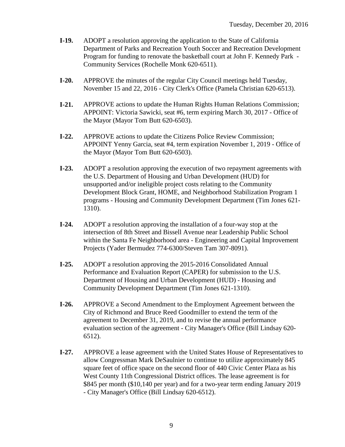- **I-19.** ADOPT a resolution approving the application to the State of California Department of Parks and Recreation Youth Soccer and Recreation Development Program for funding to renovate the basketball court at John F. Kennedy Park - Community Services (Rochelle Monk 620-6511).
- **I-20.** APPROVE the minutes of the regular City Council meetings held Tuesday, November 15 and 22, 2016 - City Clerk's Office (Pamela Christian 620-6513).
- **I-21.** APPROVE actions to update the Human Rights Human Relations Commission; APPOINT: Victoria Sawicki, seat #6, term expiring March 30, 2017 - Office of the Mayor (Mayor Tom Butt 620-6503).
- **I-22.** APPROVE actions to update the Citizens Police Review Commission; APPOINT Yenny Garcia, seat #4, term expiration November 1, 2019 - Office of the Mayor (Mayor Tom Butt 620-6503).
- **I-23.** ADOPT a resolution approving the execution of two repayment agreements with the U.S. Department of Housing and Urban Development (HUD) for unsupported and/or ineligible project costs relating to the Community Development Block Grant, HOME, and Neighborhood Stabilization Program 1 programs - Housing and Community Development Department (Tim Jones 621- 1310).
- **I-24.** ADOPT a resolution approving the installation of a four-way stop at the intersection of 8th Street and Bissell Avenue near Leadership Public School within the Santa Fe Neighborhood area - Engineering and Capital Improvement Projects (Yader Bermudez 774-6300/Steven Tam 307-8091).
- **I-25.** ADOPT a resolution approving the 2015-2016 Consolidated Annual Performance and Evaluation Report (CAPER) for submission to the U.S. Department of Housing and Urban Development (HUD) - Housing and Community Development Department (Tim Jones 621-1310).
- **I-26.** APPROVE a Second Amendment to the Employment Agreement between the City of Richmond and Bruce Reed Goodmiller to extend the term of the agreement to December 31, 2019, and to revise the annual performance evaluation section of the agreement - City Manager's Office (Bill Lindsay 620- 6512).
- **I-27.** APPROVE a lease agreement with the United States House of Representatives to allow Congressman Mark DeSaulnier to continue to utilize approximately 845 square feet of office space on the second floor of 440 Civic Center Plaza as his West County 11th Congressional District offices. The lease agreement is for \$845 per month (\$10,140 per year) and for a two-year term ending January 2019 - City Manager's Office (Bill Lindsay 620-6512).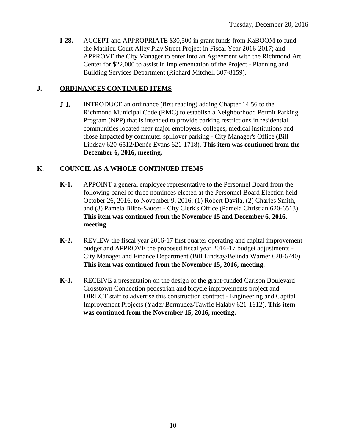**I-28.** ACCEPT and APPROPRIATE \$30,500 in grant funds from KaBOOM to fund the Mathieu Court Alley Play Street Project in Fiscal Year 2016-2017; and APPROVE the City Manager to enter into an Agreement with the Richmond Art Center for \$22,000 to assist in implementation of the Project - Planning and Building Services Department (Richard Mitchell 307-8159).

### **J. ORDINANCES CONTINUED ITEMS**

**J-1.** INTRODUCE an ordinance (first reading) adding Chapter 14.56 to the Richmond Municipal Code (RMC) to establish a Neighborhood Permit Parking Program (NPP) that is intended to provide parking restrictions in residential communities located near major employers, colleges, medical institutions and those impacted by commuter spillover parking - City Manager's Office (Bill Lindsay 620-6512/Denée Evans 621-1718). **This item was continued from the December 6, 2016, meeting.**

### **K. COUNCIL AS A WHOLE CONTINUED ITEMS**

- **K-1.** APPOINT a general employee representative to the Personnel Board from the following panel of three nominees elected at the Personnel Board Election held October 26, 2016, to November 9, 2016: (1) Robert Davila, (2) Charles Smith, and (3) Pamela Bilbo-Saucer - City Clerk's Office (Pamela Christian 620-6513). **This item was continued from the November 15 and December 6, 2016, meeting.**
- **K-2.** REVIEW the fiscal year 2016-17 first quarter operating and capital improvement budget and APPROVE the proposed fiscal year 2016-17 budget adjustments - City Manager and Finance Department (Bill Lindsay/Belinda Warner 620-6740). **This item was continued from the November 15, 2016, meeting.**
- **K-3.** RECEIVE a presentation on the design of the grant-funded Carlson Boulevard Crosstown Connection pedestrian and bicycle improvements project and DIRECT staff to advertise this construction contract - Engineering and Capital Improvement Projects (Yader Bermudez/Tawfic Halaby 621-1612). **This item was continued from the November 15, 2016, meeting.**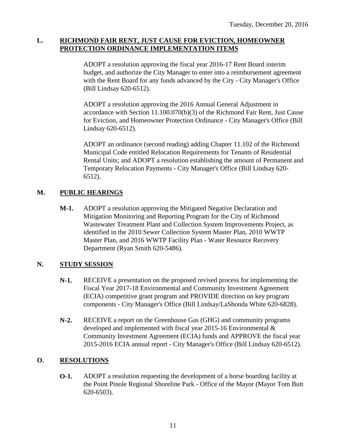#### **L. RICHMOND FAIR RENT, JUST CAUSE FOR EVICTION, HOMEOWNER PROTECTION ORDINANCE IMPLEMENTATION ITEMS**

ADOPT a resolution approving the fiscal year 2016-17 Rent Board interim budget, and authorize the City Manager to enter into a reimbursement agreement with the Rent Board for any funds advanced by the City - City Manager's Office (Bill Lindsay 620-6512).

ADOPT a resolution approving the 2016 Annual General Adjustment in accordance with Section 11.100.070(b)(3) of the Richmond Fair Rent, Just Cause for Eviction, and Homeowner Protection Ordinance - City Manager's Office (Bill Lindsay 620-6512).

ADOPT an ordinance (second reading) adding Chapter 11.102 of the Richmond Municipal Code entitled Relocation Requirements for Tenants of Residential Rental Units; and ADOPT a resolution establishing the amount of Permanent and Temporary Relocation Payments - City Manager's Office (Bill Lindsay 620- 6512).

## **M. PUBLIC HEARINGS**

**M-1.** ADOPT a resolution approving the Mitigated Negative Declaration and Mitigation Monitoring and Reporting Program for the City of Richmond Wastewater Treatment Plant and Collection System Improvements Project, as identified in the 2010 Sewer Collection System Master Plan, 2010 WWTP Master Plan, and 2016 WWTP Facility Plan - Water Resource Recovery Department (Ryan Smith 620-5486).

## **N. STUDY SESSION**

- **N-1.** RECEIVE a presentation on the proposed revised process for implementing the Fiscal Year 2017-18 Environmental and Community Investment Agreement (ECIA) competitive grant program and PROVIDE direction on key program components - City Manager's Office (Bill Lindsay/LaShonda White 620-6828).
- **N-2.** RECEIVE a report on the Greenhouse Gas (GHG) and community programs developed and implemented with fiscal year 2015-16 Environmental & Community Investment Agreement (ECIA) funds and APPROVE the fiscal year 2015-2016 ECIA annual report - City Manager's Office (Bill Lindsay 620-6512).

## **O. RESOLUTIONS**

**O-1.** ADOPT a resolution requesting the development of a horse boarding facility at the Point Pinole Regional Shoreline Park - Office of the Mayor (Mayor Tom Butt 620-6503).